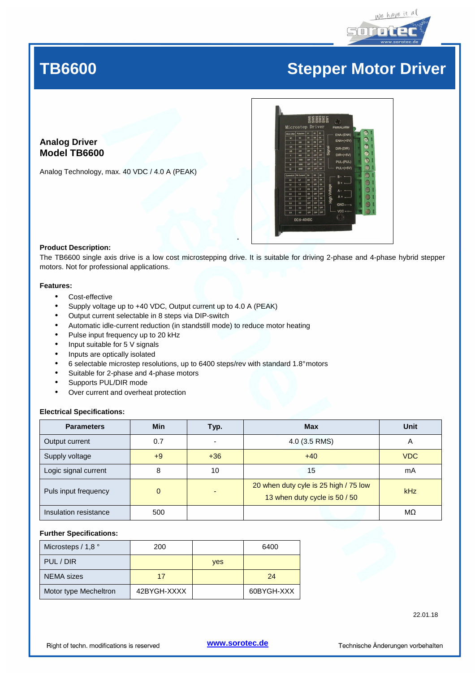

# TB6600

# **Stepper Motor Driver**

### **Analog Driver Model TB6600**

Analog Technology, max. 40 VDC / 4.0 A (PEAK)



### **Product Description:**

The TB6600 single axis drive is a low cost microstepping drive. It is suitable for driving 2-phase and 4-phase hybrid stepper motors. Not for professional applications.

### **Features:**

- Cost-effective
- Supply voltage up to +40 VDC, Output current up to 4.0 A (PEAK)
- Output current selectable in 8 steps via DIP-switch
- Automatic idle-current reduction (in standstill mode) to reduce motor heating
- Pulse input frequency up to 20 kHz
- Input suitable for 5 V signals
- Inputs are optically isolated
- 6 selectable microstep resolutions, up to 6400 steps/rev with standard 1.8° motors
- Suitable for 2-phase and 4-phase motors
- Supports PUL/DIR mode
- Over current and overheat protection

### **Electrical Specifications:**

| <b>Parameters</b>     | <b>Min</b> | Typ.                     | <b>Max</b>                                                             | Unit       |
|-----------------------|------------|--------------------------|------------------------------------------------------------------------|------------|
| Output current        | 0.7        | $\overline{\phantom{a}}$ | 4.0 (3.5 RMS)                                                          | Α          |
| Supply voltage        | +9         | $+36$                    | $+40$                                                                  | <b>VDC</b> |
| Logic signal current  | 8          | 10                       | 15                                                                     | mA         |
| Puls input frequency  | $\Omega$   | $\overline{\phantom{0}}$ | 20 when duty cyle is 25 high / 75 low<br>13 when duty cycle is 50 / 50 | kHz        |
| Insulation resistance | 500        |                          |                                                                        | MΩ         |

### **Further Specifications:**

| Microsteps $/ 1,8$ °  | 200         |            | 6400       |
|-----------------------|-------------|------------|------------|
| PUL / DIR             |             | <b>ves</b> |            |
| NEMA sizes            | 17          |            | 24         |
| Motor type Mecheltron | 42BYGH-XXXX |            | 60BYGH-XXX |

22.01.18